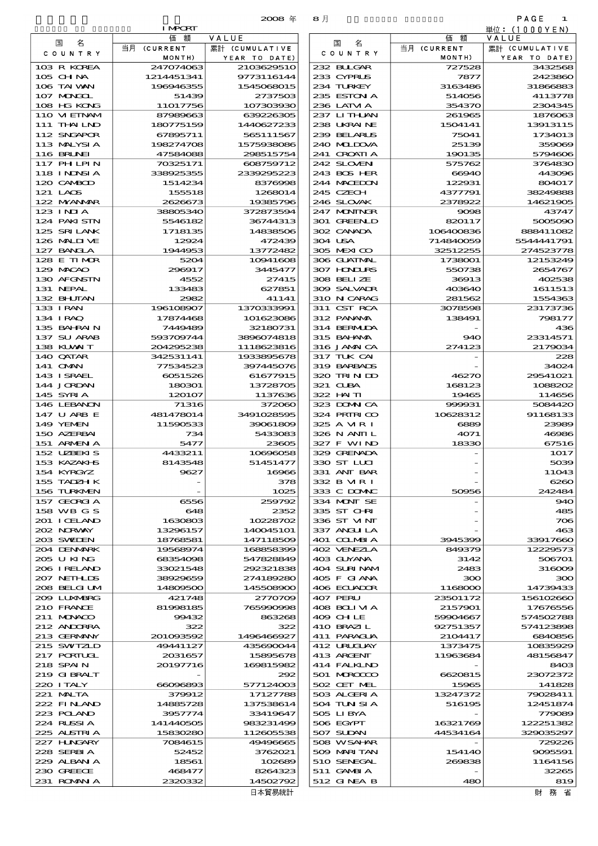|                              | <b>I MPORT</b>         | 2008 年                      | 8月                          |                     | PAGE<br>-1<br>単位:(1000YEN) |
|------------------------------|------------------------|-----------------------------|-----------------------------|---------------------|----------------------------|
| 国<br>名                       | 額<br>価                 | VALUE                       | 名<br>国                      | 価額                  | VALUE                      |
| C O U N T R Y                | 当月 (CURRENT            | 累計 (CUMULATIVE              | C O U N T R Y               | 当月 (CURRENT         |                            |
| 103 R KOREA                  | MONTH)<br>247074063    | YEAR TO DATE)<br>2103629510 | 232 BLLGAR                  | MONTH)<br>727528    | YEAR TO DATE)<br>3432568   |
| 105 CHNA                     | 1214451341             | 9773116144                  | 233 CYPRUS                  | 7877                | 2423860                    |
| 106 TAI WAN                  | 196946355              | 1545068015                  | 234 TURKEY                  | 3163486             | 31866883                   |
| 107 MAGOL                    | 51439                  | 2737503                     | 235 ESTON A                 | 514056              | 4113778                    |
| 108 HG KONG                  | 11017756               | 107303930                   | 236 LATM A                  | 354370              | 2304345                    |
| 110 VIEINAM<br>111 THAILND   | 87989663<br>180775159  | 639226305<br>1440627233     | 237 LITHAN<br>238 UKRAINE   | 261965<br>1504141   | 187606<br>13913115         |
| 112 SNGAPOR                  | 67895711               | 565111567                   | 239 BELARUS                 | 75041               | 1734013                    |
| 113 MALYSIA                  | 198274708              | 1575933086                  | 240 MILDOVA                 | 25139               | 359069                     |
| <b>116 BRUNEI</b>            | 47584088               | 298515754                   | 241 CROATIA                 | 190135              | 5794606                    |
| <b>117 PHLPIN</b>            | 70325171               | 608759712                   | 242 SLOVEN                  | 575762              | 3764830                    |
| 118 I NDNSI A                | 338925355              | 2339295223                  | 243 BOS HER                 | 66940               | 443096                     |
| 120 CAMBOD                   | 1514234                | 8376998                     | 244 MACEDON                 | 122931              | 804017                     |
| 121 LAOS<br>122 MYANMAR      | 155518<br>2626673      | 1268014<br>19385796         | 245 CZECH<br>246 SLOVAK     | 4377791<br>2378922  | 38249888<br>14621905       |
| $123$ INIA                   | 38805340               | 372873594                   | 247 MONINGR                 | 9098                | 43747                      |
| 124 PAKISTN                  | 5546182                | 36744313                    | 301 GREENLD                 | 820117              | 5005090                    |
| 125 SRILANK                  | 1718135                | 14838506                    | 302 CANADA                  | 106400836           | 888411082                  |
| 126 MALII VE                 | 12924                  | 472439                      | 304 USA                     | 714840059           | 5544441791                 |
| 127 BANCLA                   | 1944953                | 13772482                    | 305 MEXICO                  | 32512255            | 274523778                  |
| 128 E TIMOR                  | 5204                   | 10941608                    | 306 GUATMAL                 | 1738001             | 12153249                   |
| 129 MACAO<br>130 AFGNSTN     | 296917<br>4552         | 3445477<br>27415            | 307 HONDURS<br>308 BELIZE   | 550738<br>36913     | 2654767<br>402535          |
| 131 NEPAL                    | 133483                 | 627851                      | 309 SALVADR                 | 403640              | 1611513                    |
| 132 BHUTAN                   | 2982                   | 41141                       | 310 N CARAG                 | 281562              | 1554363                    |
| 133 I RAN                    | 196108907              | 1370333991                  | 311 CST RCA                 | 3078598             | 23173736                   |
| 134 IRAQ                     | 17874468               | 101623086                   | 312 PANAMA                  | 138491              | 798177                     |
| 135 BAHRAIN                  | 7449489                | 32180731                    | 314 BERMIDA                 |                     | 436                        |
| 137 SU ARAB<br>138 KUWAIT    | 593709744<br>204295238 | 3896074818<br>1118623816    | 315 BAI ANA<br>316 JAMAICA  | 940<br>274123       | 23314571<br>2179034        |
| 140 QATAR                    | 342531141              | 1933895678                  | 317 TUK CAI                 |                     | 228                        |
| 141 <b>OMAN</b>              | 77534523               | 397445076                   | 319 BARBADS                 |                     | 34024                      |
| 143 ISRAEL                   | 6051526                | 61677915                    | 320 TRIND                   | 46270               | 29541021                   |
| 144 JORDAN                   | 180301                 | 13728705                    | 321 CLBA                    | 168123              | 1088202                    |
| 145 SYRI A                   | 120107                 | 1137636                     | 322 HAITI                   | 19465               | 114656                     |
| 146 LEBANON                  | 71316                  | 372060                      | 323 DOWN CA                 | 999931              | 5084420                    |
| 147 U ARB E<br>149 YEMEN     | 481478014<br>11590533  | 3491028595<br>39061809      | 324 PRIRICO<br>325 A MR I   | 10628312<br>6889    | 91168133<br>23989          |
| 150 AZERBAI                  | 734                    | 5433083                     | 326 N ANII L                | 4071                | 46986                      |
| 151 ARMENIA                  | 5477                   | 23605                       | 327 F WIND                  | 18330               | 67516                      |
| 152 UZBEKIS                  | 4433211                | 10696058                    | 329 GRENADA                 |                     | 1017                       |
| 153 KAZAKI B                 | 8143548                | 51451477                    | 330 ST LLCI                 |                     | 50 <sup>3</sup>            |
| 154 KYRGYZ                   | 9627                   | 16966                       | 331 ANT BAR                 |                     | 11O43                      |
| 155 TADZH K<br>156 TURKMEN   |                        | 378<br>1025                 | 332 B MR I<br>333 C DOMAC   | 50956               | $\csc$<br>242484           |
| 157 GEORGIA                  | 6556                   | 259792                      | 334 MONT SE                 |                     | 940                        |
| 158 WB G S                   | 648                    | 2352                        | 335 ST CHRI                 |                     | 485                        |
| 201 I CELAND                 | 1630803                | 10228702                    | 336 ST VINT                 |                     | 700                        |
| 202 NORWAY                   | 13296157               | 140045101                   | 337 ANGLILA                 |                     | 463                        |
| 203 SWIDEN                   | 18768581               | 147118509                   | 401 COLMBIA                 | 3945399             | 33917660                   |
| 204 DENMARK<br>205 U KING    | 19568974               | 168858399<br>547828849      | 402 VENEZIA<br>403 GUYANA   | 849379<br>3142      | 12229573<br>506701         |
| 206 I RELAND                 | 68354098<br>33021548   | 292321838                   | 404 SURINAM                 | 2483                | 316000                     |
| 207 NETHLIS                  | 38929659               | 274189280                   | 405 F GIANA                 | ဆာ                  | 300                        |
| 208 BELGI UM                 | 14809500               | 145508900                   | 406 ECUADOR                 | 1168000             | 14739433                   |
| 209 LUNABRG                  | 421748                 | 2770709                     | 407 PERU                    | 23501172            | 156102660                  |
| 210 FRANCE                   | 81998185               | 765990998                   | 408 BOLI VI A               | 2157901             | 17676556                   |
| 211 MUNACO                   | 99432                  | 863268                      | 409 CHLE                    | 59904667            | 57450278                   |
| 212 ANDORRA<br>$213$ CERNANY | 322<br>201083592       | 322<br>1496466927           | 410 BRAZIL<br>$411$ PARACIA | 92751357<br>2104417 | 574123896<br>6840856       |

| tuo uttiva    | 161451311 | 9775110144         | 200 CIFRUS    | 1011      | $\omega$ $\infty$ |
|---------------|-----------|--------------------|---------------|-----------|-------------------|
| 106 TAI VAN   | 196946355 | 1545068015         | 234 TURKEY    | 3163486   | 31866883          |
| 107 MAGAL     | 51439     | 2737503            | 235 ESTON A   | 514056    | 4113778           |
| 108 HG KONG   | 11017756  | 107303930          | 236 LATM A    | 354370    | 2304345           |
| 110 VIEINAM   | 87989663  | 639226305          | 237 LITHAN    | 261965    | 1876063           |
| 111 THAILND   | 180775159 | 1440627233         | 238 UKRAINE   | 1504141   | 13913115          |
|               |           |                    |               |           |                   |
| 112 SNGAPOR   | 67895711  | 565111567          | 239 BELARUS   | 75041     | 1734013           |
| 113 MALYSIA   | 198274708 | 1575933086         | 240 MIDOVA    | 25139     | 359069            |
| 116 BRUNEI    | 47584088  | 298515754          | 241 CROATIA   | 190135    | 5794606           |
| 117 PHLPIN    | 70325171  | 608759712          | 242 SLOVEN    | 575762    | 3764830           |
| 118 I NDNSI A | 338925355 | 2339295223         | 243 BOS HER   | 66940     | 443096            |
| 120 CAMBOD    | 1514234   | 8376998            | 244 MACEDON   | 122931    | 804017            |
| 121 LAOS      | 155518    | 1268014            | 245 CZECH     | 4377791   | 38249888          |
| 122 MYANMAR   | 2626673   | 19385796           | 246 SLOVAK    | 2378922   | 14621905          |
| $123$ INIA    |           |                    |               |           |                   |
|               | 38805340  | 372873594          | 247 MONINGR   | 9098      | 43747             |
| 124 PAKISTN   | 5546182   | 36744313           | 301 GREENLD   | 820117    | 5005090           |
| 125 SRILANK   | 1718135   | 14838506           | 302 CANADA    | 106400836 | 888411082         |
| 126 MALII VE  | 12924     | 472439             | 304 USA       | 714840059 | 5544441791        |
| 127 BANCLA    | 1944953   | 13772482           | 305 MEXICO    | 32512255  | 274523778         |
| 128 E TIMOR   | 5204      | 10941608           | 306 GUATMAL   | 1738001   | 12153249          |
| 129 MACAO     | 296917    | 3445477            | 307 HONDURS   | 550738    | 2654767           |
| 130 AFGNSTN   | 4552      | 27415              | 308 BELLZE    | 36913     | 402538            |
| 131 NEPAL     | 133483    | 627851             | 309 SALVAIR   | 403640    | 1611513           |
|               | 2982      | 41141              |               |           |                   |
| 132 BHUTAN    |           |                    | 310 N CARAG   | 281562    | 1554363           |
| 133 I RAN     | 196108907 | 1370333991         | 311 CST RCA   | 3078598   | 23173736          |
| 134 I RAQ     | 17874468  | 101623086          | 312 PANAMA    | 138491    | 798177            |
| 135 BAHRAIN   | 7449489   | 32180731           | 314 BERMIDA   |           | 436               |
| 137 SU ARAB   | 593709744 | 3896074818         | 315 BAHAMA    | 940       | 23314571          |
| 138 KUWAIT    | 204295238 | 1118623816         | 316 JAMAICA   | 274123    | 2179034           |
| 140 QATAR     | 342531141 | 1933895678         | 317 TUK CAI   |           | 228               |
| 141 OMN       | 77534523  | 397445076          | 319 BARBADS   |           | 34024             |
| 143 ISRAEL    | 6051526   | 61677915           | 320 TRIN ID   | 46270     | 29541021          |
| 144 JORDAN    | 180301    | 13728705           | 321 CLBA      | 168123    | 1088202           |
|               |           |                    |               |           |                   |
| 145 SYRIA     | 120107    | 1137636            | 322 HAITI     | 19465     | 114656            |
| 146 LEBANON   | 71316     | 372060             | 323 DOMNICA   | 999931    | 5084420           |
| 147 U ARB E   | 481478014 | 3491028595         | 324 PRIRICO   | 10628312  | 91168133          |
| 149 YEMEN     | 11590533  | 39061809           | 325 A MR I    | 6889      | 23989             |
| 150 AZERBAI   | 734       | 5433083            | 326 N ANII L  | 4071      | 46986             |
| 151 ARMENIA   | 5477      | 23605              | 327 F WIND    | 18330     | 67516             |
| 152 UZBEKIS   | 4433211   | 10696058           | 329 GRENADA   |           | 1017              |
| 153 KAZAKI B  | 8143548   | 51451477           | 330 ST LUI    |           | 5039              |
| 154 KYRGYZ    | 9627      | 16966              | 331 ANT BAR   |           | 11043             |
| 155 TADZH K   |           | 378                | 332 B MR I    |           | 6260              |
| 156 TURKMEN   |           |                    |               |           | 242484            |
|               |           | 1025               | 333 C DOMAC   | 50956     |                   |
| 157 GEORGIA   | 6556      | 259792             | 334 MONT SE   |           | 940               |
| 158 WB G S    | 648       | 2352               | 335 ST CHRI   |           | 485               |
| 201 I CELAND  | 1630803   | 10228702           | 336 ST VINT   |           | 706               |
| 202 NORWAY    | 13296157  | 140045101          | 337 ANGLI LA  |           | 463               |
| 203 SWIDEN    | 18768581  | 147118509          | 401 COLMBIA   | 3945399   | 33917660          |
| 204 DENMARK   | 19568974  | 168858399          | 402 VENEZIA   | 849379    | 12229573          |
| 205 U KING    | 68354098  | 547828849          | 403 GUYANA    | 3142      | 506701            |
| 206 I RELAND  | 33021548  | 292321838          | 404 SURINAM   | 2483      | 316009            |
| 207 NETHLIS   | 38929659  | 274189280          | 405 F GIANA   | 300       | 300               |
|               |           |                    |               |           |                   |
| 208 BELGI UM  | 14809500  | 145508900          | 406 ECUADOR   | 1168000   | 14739433          |
| 2009 LUNABRG  | 421748    | 2770709            | 407 PERU      | 23501172  | 156102660         |
| 210 FRANCE    | 81998185  | 765990998          | 408 BOLI VI A | 2157901   | 17676556          |
| 211 MUNACO    | 99432     | 863268             | 409 CHLE      | 59904667  | 574502788         |
| 212 ANDORRA   | 322       | 322                | 410 BRAZIL    | 92751357  | 574123898         |
| 213 GERMANY   | 201093592 | 1496466927         | 411 PARAGUA   | 2104417   | 6840856           |
| 215 SWIZLD    | 49441127  | 435690044          | 412 URUCUAY   | 1373475   | 10835929          |
| 217 PORTUCL   | 2031657   | 15895678           | 413 ARCENT    | 11963684  | 48156847          |
| 218 SPAIN     | 20197716  | 169815982          | 414 FALKLND   |           | 8403              |
| 219 GIBRALT   |           | 292                | 501 MROCCO    | 6620815   | 23072372          |
| 220 I TALY    |           |                    |               |           |                   |
|               | 66096893  | 577124003          | 502 CET MEL   | 15965     | 141828            |
| 221 MALTA     | 379912    | 17127788           | 503 ALGERIA   | 13247372  | 79028411          |
| 222 FINLAND   | 14885728  | 137538614          | 504 TUN SI A  | 516195    | 12451874          |
| 223 POLAND    | 3957774   | 33419647           | 505 LIBYA     |           | 779089            |
| 224 RUSSIA    | 141440505 | 983231499          | 506 EGYPT     | 16321769  | 122251382         |
| 225 ALSTRIA   | 15830280  | 112605538          | 507 SUDAN     | 44534164  | 329035297         |
| 227 H.NGARY   | 7084615   | 49496665           | 508 WSAHAR    |           | 729226            |
| 228 SERBIA    | 52452     | 3762021            | 509 MARI TAN  | 154140    | 9095591           |
| 229 ALBAN A   | 18561     | 102689             | 510 SENEGAL   | 269838    | 1164156           |
| 230 GREECE    | 468477    | 8264323            | 511 GAMBIA    |           | 32265             |
|               |           |                    |               |           |                   |
| 231 ROMANIA   | 2320332   | 14502792<br>口士契甲姑赶 | 512 GINEA B   | 480       | 819               |

財 務 省

日本貿易統計